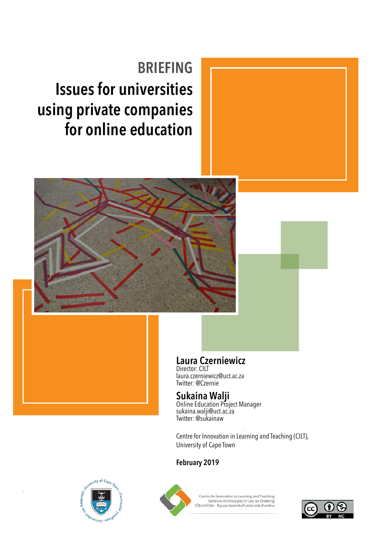## **Issues for universities using private companies for online education BRIEFING**



### **Laura Czerniewicz**

Director: CILT laura.czerniewicz@uct.ac.za Twitter: @Czernie

### **Sukaina Walji**

Online Education Project Manager sukaina.walji@uct.ac.za Twitter: @sukainaw

Centre for Innovation in Learning and Teaching (CILT), University of Cape Town

#### **February 2019**





Centre for Innovation in Learning and Teaching .<br>Sentrum vir Innovasie in Leer en Onderrig<br>IZiko loDalo - Nguqu kwezokuFunda nokuFundisa

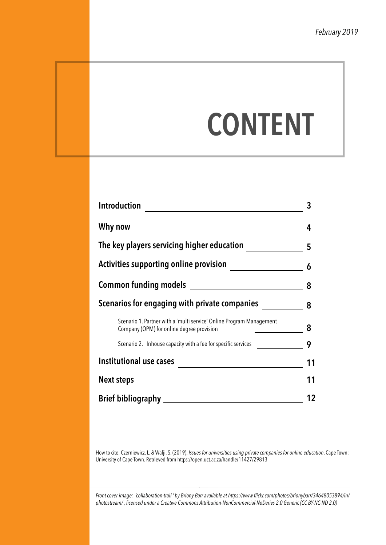# **CONTENT**

| Introduction                                                                                                      | 3  |
|-------------------------------------------------------------------------------------------------------------------|----|
| Why now $\sqrt{2\pi}$                                                                                             | 4  |
| The key players servicing higher education                                                                        | 5  |
| <b>Activities supporting online provision</b>                                                                     | 6  |
|                                                                                                                   | 8  |
| Scenarios for engaging with private companies                                                                     | 8  |
| Scenario 1. Partner with a 'multi service' Online Program Management<br>Company (OPM) for online degree provision | 8  |
| Scenario 2. Inhouse capacity with a fee for specific services                                                     | 9  |
| Institutional use cases                                                                                           | 11 |
| Next steps                                                                                                        | 11 |
|                                                                                                                   | 12 |

How to cite: Czerniewicz, L. & Walji, S. (2019). *Issues for universities using private companies for online education*. Cape Town: University of Cape Town. Retrieved from https://open.uct.ac.za/handle/11427/29813

*Front cover image: 'collaboration-trail ' by Briony Barr available at https://www.flickr.com/photos/brionybarr/34648053894/in/ photostream/ , licensed under a Creative Commons Attribution-NonCommercial-NoDerivs 2.0 Generic (CC BY-NC-ND 2.0)*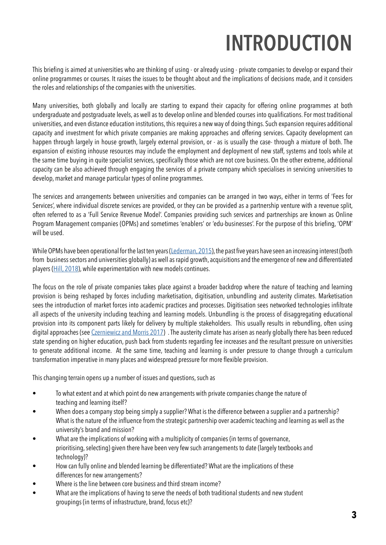## **INTRODUCTION**

This briefing is aimed at universities who are thinking of using - or already using - private companies to develop or expand their online programmes or courses. It raises the issues to be thought about and the implications of decisions made, and it considers the roles and relationships of the companies with the universities.

Many universities, both globally and locally are starting to expand their capacity for offering online programmes at both undergraduate and postgraduate levels, as well as to develop online and blended courses into qualifications. For most traditional universities, and even distance education institutions, this requires a new way of doing things. Such expansion requires additional capacity and investment for which private companies are making approaches and offering services. Capacity development can happen through largely in house growth, largely external provision, or - as is usually the case- through a mixture of both. The expansion of existing inhouse resources may include the employment and deployment of new staff, systems and tools while at the same time buying in quite specialist services, specifically those which are not core business. On the other extreme, additional capacity can be also achieved through engaging the services of a private company which specialises in servicing universities to develop, market and manage particular types of online programmes.

The services and arrangements between universities and companies can be arranged in two ways, either in terms of 'Fees for Services', where individual discrete services are provided, or they can be provided as a partnership venture with a revenue split, often referred to as a 'Full Service Revenue Model'. Companies providing such services and partnerships are known as Online Program Management companies (OPMs) and sometimes 'enablers' or 'edu-businesses'. For the purpose of this briefing, 'OPM' will be used.

While OPMs have been operational for the last ten years ([Lederman, 2015](https://www.insidehighered.com/news/2015/04/09/serial-entrepreneur-aims-reboot-online-learning-enabler-market/)), the past five years have seen an increasing interest (both from business sectors and universities globally) as well as rapid growth, acquisitions and the emergence of new and differentiated players [\(Hill, 2018](https://mfeldstein.com/online-program-management-market-landscape-s2018)), while experimentation with new models continues.

The focus on the role of private companies takes place against a broader backdrop where the nature of teaching and learning provision is being reshaped by forces including marketisation, digitisation, unbundling and austerity climates. Marketisation sees the introduction of market forces into academic practices and processes. Digitisation sees networked technologies infiltrate all aspects of the university including teaching and learning models. Unbundling is the process of disaggregating educational provision into its component parts likely for delivery by multiple stakeholders. This usually results in rebundling, often using digital approaches (see [Czerniewicz and Morris 2017](https://unbundleduni.com/)) . The austerity climate has arisen as nearly globally there has been reduced state spending on higher education, push back from students regarding fee increases and the resultant pressure on universities to generate additional income. At the same time, teaching and learning is under pressure to change through a curriculum transformation imperative in many places and widespread pressure for more flexible provision.

This changing terrain opens up a number of issues and questions, such as

- To what extent and at which point do new arrangements with private companies change the nature of teaching and learning itself?
- When does a company stop being simply a supplier? What is the difference between a supplier and a partnership? What is the nature of the influence from the strategic partnership over academic teaching and learning as well as the university's brand and mission?
- What are the implications of working with a multiplicity of companies (in terms of governance, prioritising, selecting) given there have been very few such arrangements to date (largely textbooks and technology)?
- How can fully online and blended learning be differentiated? What are the implications of these differences for new arrangements?
- Where is the line between core business and third stream income?
- What are the implications of having to serve the needs of both traditional students and new student groupings (in terms of infrastructure, brand, focus etc)?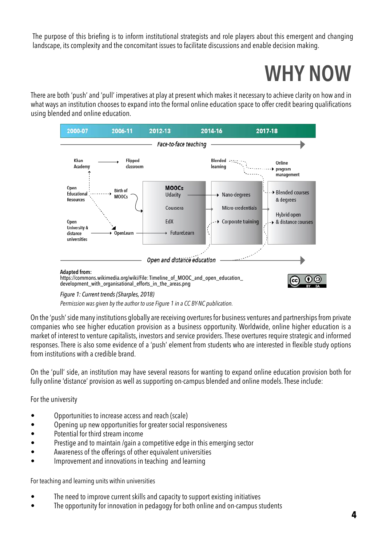The purpose of this briefing is to inform institutional strategists and role players about this emergent and changing landscape, its complexity and the concomitant issues to facilitate discussions and enable decision making.

## **WHY NOW**

There are both 'push' and 'pull' imperatives at play at present which makes it necessary to achieve clarity on how and in what ways an institution chooses to expand into the formal online education space to offer credit bearing qualifications using blended and online education.



*Permission was given by the author to use Figure 1 in a CC BY-NC publication.*

On the 'push' side many institutions globally are receiving overtures for business ventures and partnerships from private companies who see higher education provision as a business opportunity. Worldwide, online higher education is a market of interest to venture capitalists, investors and service providers. These overtures require strategic and informed responses. There is also some evidence of a 'push' element from students who are interested in flexible study options from institutions with a credible brand.

On the 'pull' side, an institution may have several reasons for wanting to expand online education provision both for fully online 'distance' provision as well as supporting on-campus blended and online models. These include:

For the university

- Opportunities to increase access and reach (scale)
- Opening up new opportunities for greater social responsiveness
- Potential for third stream income
- Prestige and to maintain /gain a competitive edge in this emerging sector
- Awareness of the offerings of other equivalent universities
- Improvement and innovations in teaching and learning

For teaching and learning units within universities

- The need to improve current skills and capacity to support existing initiatives
- The opportunity for innovation in pedagogy for both online and on-campus students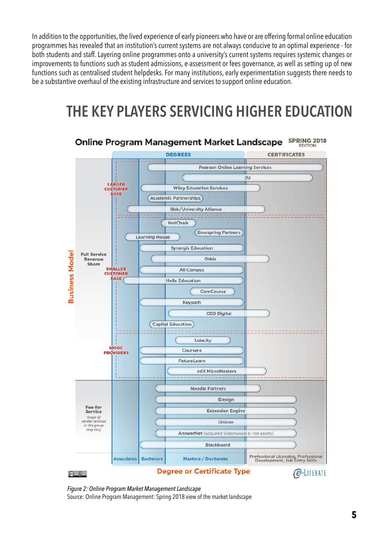In addition to the opportunities, the lived experience of early pioneers who have or are offering formal online education programmes has revealed that an institution's current systems are not always conducive to an optimal experience - for both students and staff. Layering online programmes onto a university's current systems requires systemic changes or improvements to functions such as student admissions, e-assessment or fees governance, as well as setting up of new functions such as centralised student helpdesks. For many institutions, early experimentation suggests there needs to be a substantive overhaul of the existing infrastructure and services to support online education.

### **THE KEY PLAYERS SERVICING HIGHER EDUCATION**



*Figure 2: Online Program Market Management Landscape* Source: Online Program Management: Spring 2018 view of the market landscape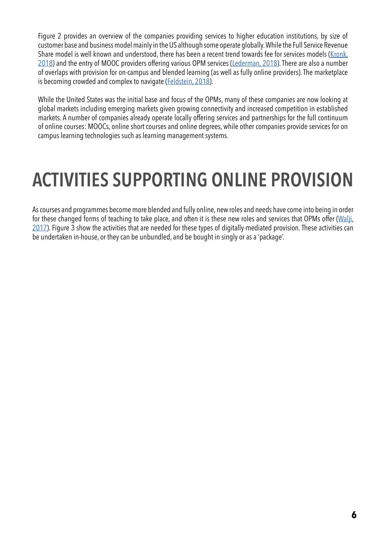Figure 2 provides an overview of the companies providing services to higher education institutions, by size of customer base and business model mainly in the US although some operate globally. While the Full Service Revenue Share model is well known and understood, there has been a recent trend towards fee for services models ([Kronk,](https://news.elearninginside.com/opm-market-slowly-shifting-cost-sharing-model/)  [2018](https://news.elearninginside.com/opm-market-slowly-shifting-cost-sharing-model/)) and the entry of MOOC providers offering various OPM services [\(Lederman, 2018\)](https://www.insidehighered.com/digital-learning/article/2018/03/06/coursera-purveyor-moocs-bets-big-university-degrees). There are also a number of overlaps with provision for on-campus and blended learning (as well as fully online providers). The marketplace is becoming crowded and complex to navigate [\(Feldstein, 2018](https://mfeldstein.com/opms-are-a-subset-of-a-bigger-market/)).

While the United States was the initial base and focus of the OPMs, many of these companies are now looking at global markets including emerging markets given growing connectivity and increased competition in established markets. A number of companies already operate locally offering services and partnerships for the full continuum of online courses: MOOCs, online short courses and online degrees, while other companies provide services for on campus learning technologies such as learning management systems.

## **ACTIVITIES SUPPORTING ONLINE PROVISION**

As courses and programmes become more blended and fully online, new roles and needs have come into being in order for these changed forms of teaching to take place, and often it is these new roles and services that OPMs offer ([Walji,](https://unbundleduni.com/2017/09/28/emergence-and-role-of-private-providers-in-the-south-african-higher-education-landscape/) [2017](https://unbundleduni.com/2017/09/28/emergence-and-role-of-private-providers-in-the-south-african-higher-education-landscape/)). Figure 3 show the activities that are needed for these types of digitally-mediated provision. These activities can be undertaken in-house, or they can be unbundled, and be bought in singly or as a 'package'.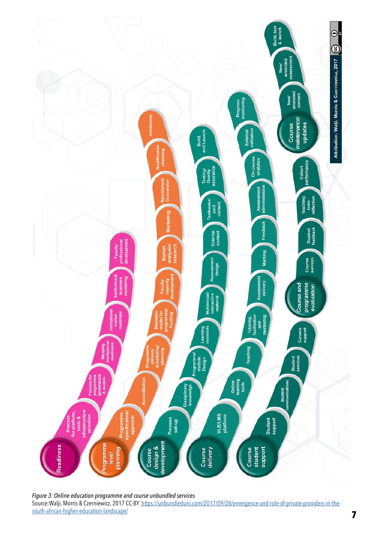

*Figure 3: Online education programme and course unbundled services* Source:Walji, Morris & Czerniewicz, 2017 CC-BY [https://unbundleduni.com/2017/09/28/emergence-and-role-of-private-providers-in-the](https://unbundleduni.com/2017/09/28/emergence-and-role-of-private-providers-in-the-south-african-higher-education-landscape/)[south-african-higher-education-landscape/](https://unbundleduni.com/2017/09/28/emergence-and-role-of-private-providers-in-the-south-african-higher-education-landscape/)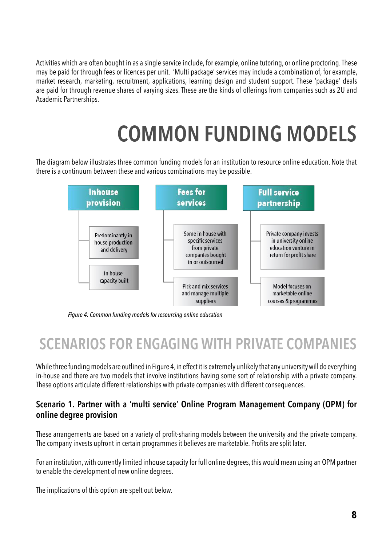Activities which are often bought in as a single service include, for example, online tutoring, or online proctoring. These may be paid for through fees or licences per unit. 'Multi package' services may include a combination of, for example, market research, marketing, recruitment, applications, learning design and student support. These 'package' deals are paid for through revenue shares of varying sizes. These are the kinds of offerings from companies such as 2U and Academic Partnerships.

## **COMMON FUNDING MODELS**

The diagram below illustrates three common funding models for an institution to resource online education. Note that there is a continuum between these and various combinations may be possible.



*Figure 4: Common funding models for resourcing online education*

### **SCENARIOS FOR ENGAGING WITH PRIVATE COMPANIES**

While three funding models are outlined in Figure 4, in effect it is extremely unlikely that any university will do everything in-house and there are two models that involve institutions having some sort of relationship with a private company. These options articulate different relationships with private companies with different consequences.

#### **Scenario 1. Partner with a 'multi service' Online Program Management Company (OPM) for online degree provision**

These arrangements are based on a variety of profit-sharing models between the university and the private company. The company invests upfront in certain programmes it believes are marketable. Profits are split later.

For an institution, with currently limited inhouse capacity for full online degrees, this would mean using an OPM partner to enable the development of new online degrees.

The implications of this option are spelt out below.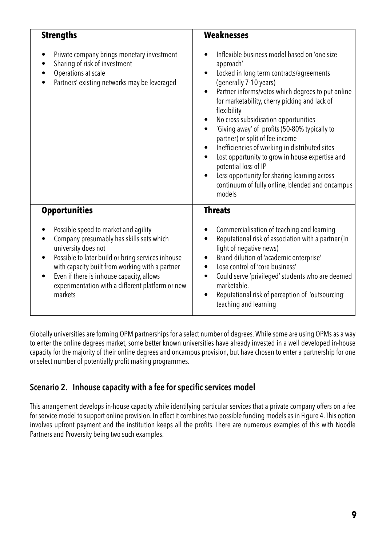| <b>Strengths</b>                                                                                                                                                                                                                                                                                                                                                                                                                                                                                                                                                                                                                                                                                                                      | <b>Weaknesses</b>                                                                                                                                                                                                                                                                                                                                                                                                                                                                                                                                                                                                                                                 |
|---------------------------------------------------------------------------------------------------------------------------------------------------------------------------------------------------------------------------------------------------------------------------------------------------------------------------------------------------------------------------------------------------------------------------------------------------------------------------------------------------------------------------------------------------------------------------------------------------------------------------------------------------------------------------------------------------------------------------------------|-------------------------------------------------------------------------------------------------------------------------------------------------------------------------------------------------------------------------------------------------------------------------------------------------------------------------------------------------------------------------------------------------------------------------------------------------------------------------------------------------------------------------------------------------------------------------------------------------------------------------------------------------------------------|
| Private company brings monetary investment<br>Sharing of risk of investment<br>Operations at scale<br>Partners' existing networks may be leveraged                                                                                                                                                                                                                                                                                                                                                                                                                                                                                                                                                                                    | Inflexible business model based on 'one size<br>approach'<br>Locked in long term contracts/agreements<br>(generally 7-10 years)<br>Partner informs/vetos which degrees to put online<br>for marketability, cherry picking and lack of<br>flexibility<br>No cross-subsidisation opportunities<br>'Giving away' of profits (50-80% typically to<br>$\bullet$<br>partner) or split of fee income<br>Inefficiencies of working in distributed sites<br>$\bullet$<br>Lost opportunity to grow in house expertise and<br>$\bullet$<br>potential loss of IP<br>Less opportunity for sharing learning across<br>continuum of fully online, blended and oncampus<br>models |
| <b>Opportunities</b><br><b>Threats</b>                                                                                                                                                                                                                                                                                                                                                                                                                                                                                                                                                                                                                                                                                                |                                                                                                                                                                                                                                                                                                                                                                                                                                                                                                                                                                                                                                                                   |
| Possible speed to market and agility<br>Commercialisation of teaching and learning<br>Reputational risk of association with a partner (in<br>Company presumably has skills sets which<br>$\bullet$<br>university does not<br>light of negative news)<br>Possible to later build or bring services inhouse<br>Brand dilution of 'academic enterprise'<br>with capacity built from working with a partner<br>Lose control of 'core business'<br>$\bullet$<br>Even if there is inhouse capacity, allows<br>Could serve 'privileged' students who are deemed<br>٠<br>experimentation with a different platform or new<br>marketable.<br>markets<br>Reputational risk of perception of 'outsourcing'<br>$\bullet$<br>teaching and learning |                                                                                                                                                                                                                                                                                                                                                                                                                                                                                                                                                                                                                                                                   |

Globally universities are forming OPM partnerships for a select number of degrees. While some are using OPMs as a way to enter the online degrees market, some better known universities have already invested in a well developed in-house capacity for the majority of their online degrees and oncampus provision, but have chosen to enter a partnership for one or select number of potentially profit making programmes.

### **Scenario 2. Inhouse capacity with a fee for specific services model**

This arrangement develops in-house capacity while identifying particular services that a private company offers on a fee for service model to support online provision. In effect it combines two possible funding models as in Figure 4. This option involves upfront payment and the institution keeps all the profits. There are numerous examples of this with Noodle Partners and Proversity being two such examples.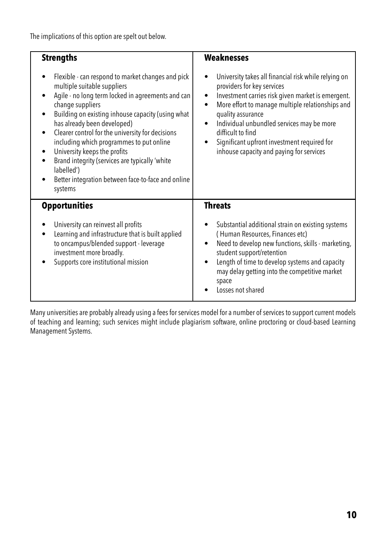The implications of this option are spelt out below.

| <b>Strengths</b>                                                                                                                                                                                                                                                                                                                                                                                                                                                                                                            | <b>Weaknesses</b>                                                                                                                                                                                                                                                                                                                                                                                                                 |
|-----------------------------------------------------------------------------------------------------------------------------------------------------------------------------------------------------------------------------------------------------------------------------------------------------------------------------------------------------------------------------------------------------------------------------------------------------------------------------------------------------------------------------|-----------------------------------------------------------------------------------------------------------------------------------------------------------------------------------------------------------------------------------------------------------------------------------------------------------------------------------------------------------------------------------------------------------------------------------|
| Flexible - can respond to market changes and pick<br>multiple suitable suppliers<br>Agile - no long term locked in agreements and can<br>$\bullet$<br>change suppliers<br>Building on existing inhouse capacity (using what<br>has already been developed)<br>Clearer control for the university for decisions<br>including which programmes to put online<br>University keeps the profits<br>Brand integrity (services are typically 'white<br>labelled')<br>Better integration between face-to-face and online<br>systems | University takes all financial risk while relying on<br>providers for key services<br>Investment carries risk given market is emergent.<br>$\bullet$<br>More effort to manage multiple relationships and<br>$\bullet$<br>quality assurance<br>Individual unbundled services may be more<br>$\bullet$<br>difficult to find<br>Significant upfront investment required for<br>$\bullet$<br>inhouse capacity and paying for services |
| <b>Opportunities</b><br>University can reinvest all profits<br>Learning and infrastructure that is built applied<br>to oncampus/blended support - leverage<br>investment more broadly.<br>Supports core institutional mission                                                                                                                                                                                                                                                                                               | <b>Threats</b><br>Substantial additional strain on existing systems<br>(Human Resources, Finances etc)<br>Need to develop new functions, skills - marketing,<br>٠<br>student support/retention<br>Length of time to develop systems and capacity<br>$\bullet$<br>may delay getting into the competitive market<br>space<br>Losses not shared                                                                                      |

Many universities are probably already using a fees for services model for a number of services to support current models of teaching and learning; such services might include plagiarism software, online proctoring or cloud-based Learning Management Systems.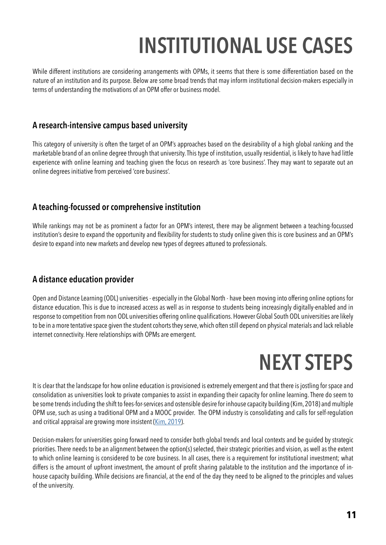## **INSTITUTIONAL USE CASES**

While different institutions are considering arrangements with OPMs, it seems that there is some differentiation based on the nature of an institution and its purpose. Below are some broad trends that may inform institutional decision-makers especially in terms of understanding the motivations of an OPM offer or business model.

#### **A research-intensive campus based university**

This category of university is often the target of an OPM's approaches based on the desirability of a high global ranking and the marketable brand of an online degree through that university. This type of institution, usually residential, is likely to have had little experience with online learning and teaching given the focus on research as 'core business'. They may want to separate out an online degrees initiative from perceived 'core business'.

### **A teaching-focussed or comprehensive institution**

While rankings may not be as prominent a factor for an OPM's interest, there may be alignment between a teaching-focussed institution's desire to expand the opportunity and flexibility for students to study online given this is core business and an OPM's desire to expand into new markets and develop new types of degrees attuned to professionals.

### **A distance education provider**

Open and Distance Learning (ODL) universities - especially in the Global North - have been moving into offering online options for distance education. This is due to increased access as well as in response to students being increasingly digitally-enabled and in response to competition from non ODL universities offering online qualifications. However Global South ODL universities are likely to be in a more tentative space given the student cohorts they serve, which often still depend on physical materials and lack reliable internet connectivity. Here relationships with OPMs are emergent.

## **NEXT STEPS**

It is clear that the landscape for how online education is provisioned is extremely emergent and that there is jostling for space and consolidation as universities look to private companies to assist in expanding their capacity for online learning. There do seem to be some trends including the shift to fees-for-services and ostensible desire for inhouse capacity building (Kim, 2018) and multiple OPM use, such as using a traditional OPM and a MOOC provider. The OPM industry is consolidating and calls for self-regulation and critical appraisal are growing more insistent [\(Kim, 2019](https://www.insidehighered.com/digital-learning/blogs/technology-and-learning/need-values-based-case-opms)).

Decision-makers for universities going forward need to consider both global trends and local contexts and be guided by strategic priorities. There needs to be an alignment between the option(s) selected, their strategic priorities and vision, as well as the extent to which online learning is considered to be core business. In all cases, there is a requirement for institutional investment; what differs is the amount of upfront investment, the amount of profit sharing palatable to the institution and the importance of inhouse capacity building. While decisions are financial, at the end of the day they need to be aligned to the principles and values of the university.